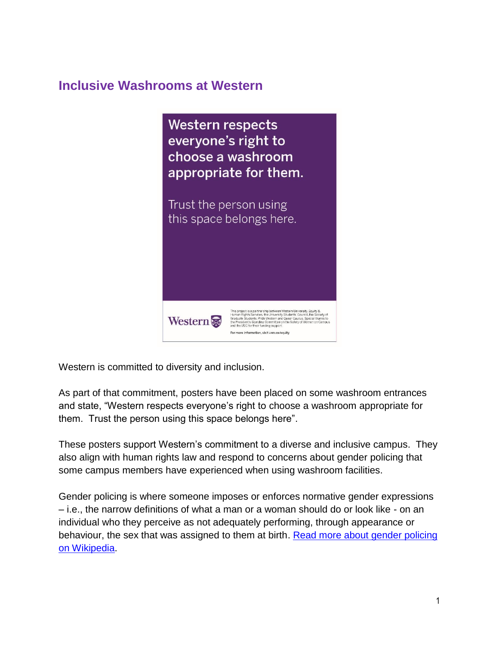# **Inclusive Washrooms at Western**



Western is committed to diversity and inclusion.

 As part of that commitment, posters have been placed on some washroom entrances and state, "Western respects everyone's right to choose a washroom appropriate for them. Trust the person using this space belongs here".

 These posters support Western's commitment to a diverse and inclusive campus. They also align with human rights law and respond to concerns about gender policing that some campus members have experienced when using washroom facilities.

 – i.e., the narrow definitions of what a man or a woman should do or look like - on an individual who they perceive as not adequately performing, through appearance or Gender policing is where someone imposes or enforces normative gender expressions behaviour, the sex that was assigned to them at birth. [Read more about gender policing](https://en.wikipedia.org/wiki/Gender_policing)  [on Wikipedia.](https://en.wikipedia.org/wiki/Gender_policing)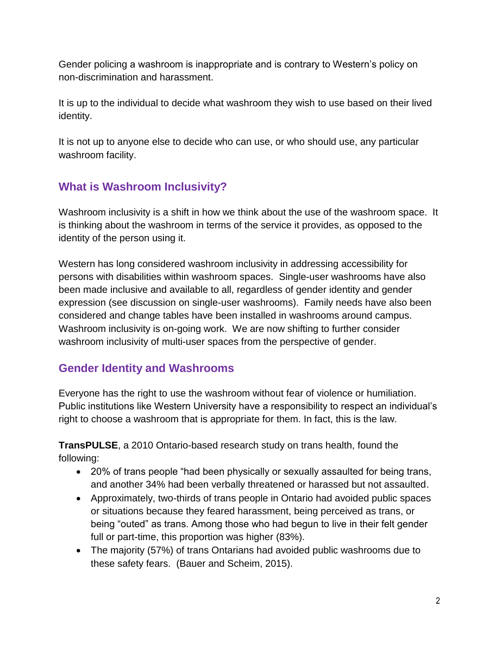non-discrimination and harassment. Gender policing a washroom is inappropriate and is contrary to Western's policy on

It is up to the individual to decide what washroom they wish to use based on their lived identity.

It is not up to anyone else to decide who can use, or who should use, any particular washroom facility.

# **What is Washroom Inclusivity?**

 Washroom inclusivity is a shift in how we think about the use of the washroom space. It identity of the person using it. is thinking about the washroom in terms of the service it provides, as opposed to the

 Washroom inclusivity is on-going work. We are now shifting to further consider washroom inclusivity of multi-user spaces from the perspective of gender. Western has long considered washroom inclusivity in addressing accessibility for persons with disabilities within washroom spaces. Single-user washrooms have also been made inclusive and available to all, regardless of gender identity and gender expression (see discussion on single-user washrooms). Family needs have also been considered and change tables have been installed in washrooms around campus.

# **Gender Identity and Washrooms**

 Everyone has the right to use the washroom without fear of violence or humiliation. Public institutions like Western University have a responsibility to respect an individual's right to choose a washroom that is appropriate for them. In fact, this is the law.

 **TransPULSE**, a 2010 Ontario-based research study on trans health, found the following:

- 20% of trans people "had been physically or sexually assaulted for being trans, and another 34% had been verbally threatened or harassed but not assaulted.
- Approximately, two-thirds of trans people in Ontario had avoided public spaces or situations because they feared harassment, being perceived as trans, or being "outed" as trans. Among those who had begun to live in their felt gender full or part-time, this proportion was higher (83%).
- The majority (57%) of trans Ontarians had avoided public washrooms due to these safety fears. (Bauer and Scheim, 2015).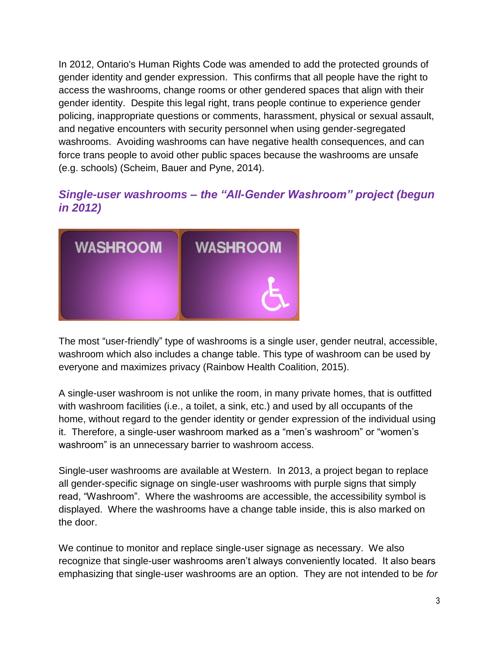In 2012, Ontario's Human Rights Code was amended to add the protected grounds of gender identity and gender expression. This confirms that all people have the right to access the washrooms, change rooms or other gendered spaces that align with their gender identity. Despite this legal right, trans people continue to experience gender policing, inappropriate questions or comments, harassment, physical or sexual assault, and negative encounters with security personnel when using gender-segregated washrooms. Avoiding washrooms can have negative health consequences, and can force trans people to avoid other public spaces because the washrooms are unsafe (e.g. schools) (Scheim, Bauer and Pyne, 2014).

# *Single-user washrooms – the "All-Gender Washroom" project (begun in 2012)*



 washroom which also includes a change table. This type of washroom can be used by The most "user-friendly" type of washrooms is a single user, gender neutral, accessible, everyone and maximizes privacy (Rainbow Health Coalition, 2015).

 with washroom facilities (i.e., a toilet, a sink, etc.) and used by all occupants of the A single-user washroom is not unlike the room, in many private homes, that is outfitted home, without regard to the gender identity or gender expression of the individual using it. Therefore, a single-user washroom marked as a "men's washroom" or "women's washroom" is an unnecessary barrier to washroom access.

 Single-user washrooms are available at Western. In 2013, a project began to replace read, "Washroom". Where the washrooms are accessible, the accessibility symbol is displayed. Where the washrooms have a change table inside, this is also marked on the door. all gender-specific signage on single-user washrooms with purple signs that simply

 We continue to monitor and replace single-user signage as necessary. We also emphasizing that single-user washrooms are an option. They are not intended to be *for*  recognize that single-user washrooms aren't always conveniently located. It also bears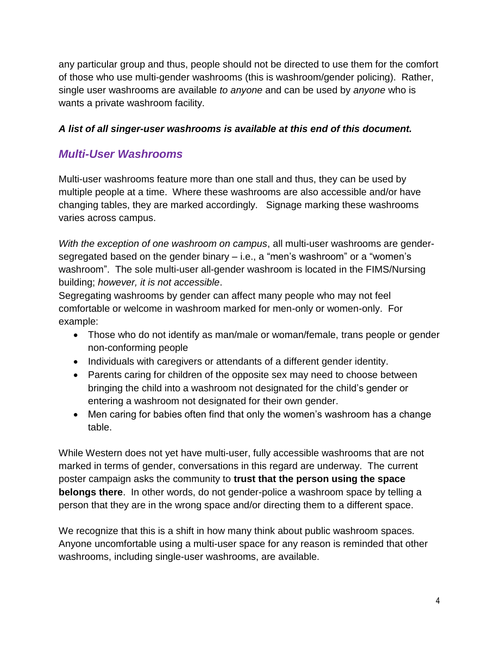any particular group and thus, people should not be directed to use them for the comfort of those who use multi-gender washrooms (this is washroom/gender policing). Rather, single user washrooms are available *to anyone* and can be used by *anyone* who is wants a private washroom facility.

# *A list of all singer-user washrooms is available at this end of this document.*

# *Multi-User Washrooms*

 Multi-user washrooms feature more than one stall and thus, they can be used by multiple people at a time. Where these washrooms are also accessible and/or have changing tables, they are marked accordingly. Signage marking these washrooms varies across campus.

With the exception of one washroom on campus, all multi-user washrooms are gender- segregated based on the gender binary – i.e., a "men's washroom" or a "women's washroom". The sole multi-user all-gender washroom is located in the FIMS/Nursing building; *however, it is not accessible*.

 Segregating washrooms by gender can affect many people who may not feel comfortable or welcome in washroom marked for men-only or women-only. For example:

- Those who do not identify as man/male or woman/female, trans people or gender non-conforming people
- Individuals with caregivers or attendants of a different gender identity.
- entering a washroom not designated for their own gender. • Parents caring for children of the opposite sex may need to choose between bringing the child into a washroom not designated for the child's gender or
- Men caring for babies often find that only the women's washroom has a change table.

table.<br>While Western does not yet have multi-user, fully accessible washrooms that are not poster campaign asks the community to **trust that the person using the space belongs there**. In other words, do not gender-police a washroom space by telling a person that they are in the wrong space and/or directing them to a different space. marked in terms of gender, conversations in this regard are underway. The current

We recognize that this is a shift in how many think about public washroom spaces. Anyone uncomfortable using a multi-user space for any reason is reminded that other washrooms, including single-user washrooms, are available.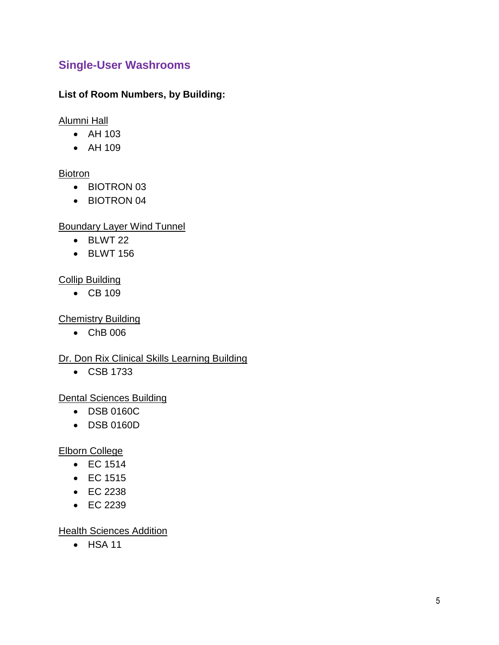# **Single-User Washrooms**

## **List of Room Numbers, by Building:**

Alumni Hall

- AH 103
- AH 109

### **Biotron**

- BIOTRON 03
- BIOTRON 04

## Boundary Layer Wind Tunnel

- BLWT 22
- BLWT 156

## Collip Building

• CB 109

## Chemistry Building

• ChB 006

# Dr. Don Rix Clinical Skills Learning Building

CSB 1733

### Dental Sciences Building

- DSB 0160C
- DSB 0160D

### Elborn College

- $\bullet$  EC 1514
- $\bullet$  EC 1515
- EC 2238
- EC 2239

### **Health Sciences Addition**

HSA 11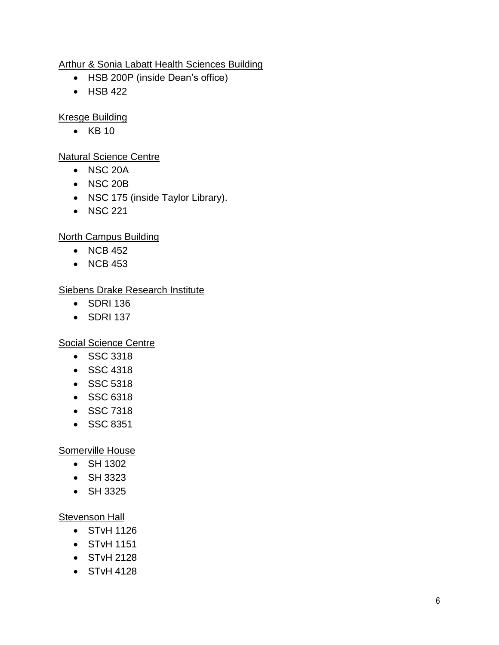### Arthur & Sonia Labatt Health Sciences Building

- HSB 200P (inside Dean's office)
- HSB 422

Kresge Building

 $\bullet$  KB 10

Natural Science Centre

- NSC 20A
- NSC 20B
- NSC 175 (inside Taylor Library).
- NSC 221

## North Campus Building

- $\bullet$  NCB 452
- $\bullet$  NCB 453

### Siebens Drake Research Institute

- SDRI 136
- SDRI 137

### Social Science Centre

- SSC 3318
- SSC 4318
- SSC 5318
- SSC 6318
- SSC 7318
- SSC 8351

### Somerville House

- SH 1302
- SH 3323
- SH 3325

### **Stevenson Hall**

- STvH 1126
- STvH 1151
- STvH 2128
- STvH 4128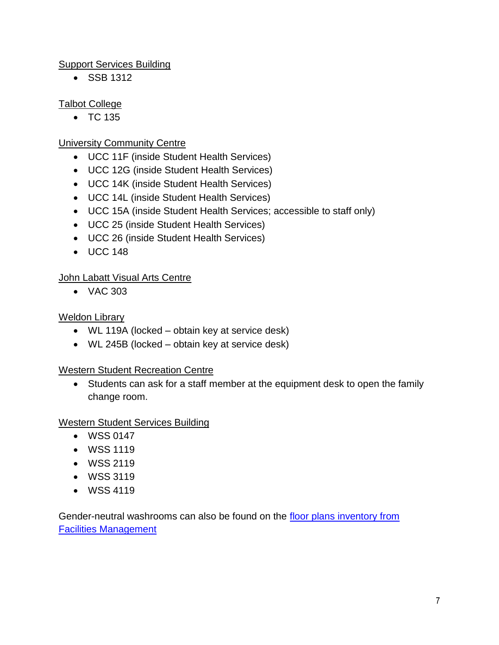### Support Services Building

• SSB 1312

# Talbot College

 $\bullet$  TC 135

# University Community Centre

- UCC 11F (inside Student Health Services)
- UCC 12G (inside Student Health Services)
- UCC 14K (inside Student Health Services)
- UCC 14L (inside Student Health Services)
- UCC 15A (inside Student Health Services; accessible to staff only)
- UCC 25 (inside Student Health Services)
- UCC 26 (inside Student Health Services)
- UCC 148

# John Labatt Visual Arts Centre

VAC 303

### Weldon Library

- WL 119A (locked obtain key at service desk)
- WL 245B (locked obtain key at service desk)

### Western Student Recreation Centre

 Students can ask for a staff member at the equipment desk to open the family change room.

### Western Student Services Building

- WSS 0147
- WSS 1119
- WSS 2119
- WSS 3119
- WSS 4119

Gender-neutral washrooms can also be found on the floor plans inventory from [Facilities Management](http://facilities.vm.its.uwo.pri/accessibility/)